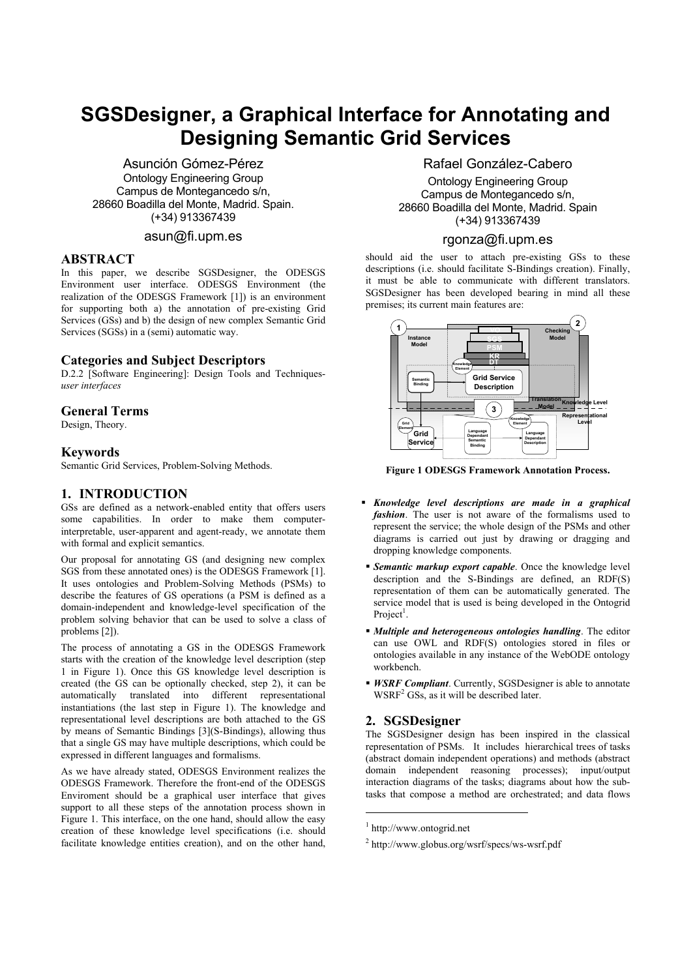# **SGSDesigner, a Graphical Interface for Annotating and Designing Semantic Grid Services**

Asunción Gómez-Pérez Ontology Engineering Group Campus de Montegancedo s/n, 28660 Boadilla del Monte, Madrid. Spain. (+34) 913367439

## asun@fi.upm.es

#### **ABSTRACT**

In this paper, we describe SGSDesigner, the ODESGS Environment user interface. ODESGS Environment (the realization of the ODESGS Framework [1]) is an environment for supporting both a) the annotation of pre-existing Grid Services (GSs) and b) the design of new complex Semantic Grid Services (SGSs) in a (semi) automatic way.

## **Categories and Subject Descriptors**

D.2.2 [Software Engineering]: Design Tools and Techniques*user interfaces*

#### **General Terms**

Design, Theory.

#### **Keywords**

Semantic Grid Services, Problem-Solving Methods.

## **1. INTRODUCTION**

GSs are defined as a network-enabled entity that offers users some capabilities. In order to make them computerinterpretable, user-apparent and agent-ready, we annotate them with formal and explicit semantics.

Our proposal for annotating GS (and designing new complex SGS from these annotated ones) is the ODESGS Framework [1]. It uses ontologies and Problem-Solving Methods (PSMs) to describe the features of GS operations (a PSM is defined as a domain-independent and knowledge-level specification of the problem solving behavior that can be used to solve a class of problems [2]).

The process of annotating a GS in the ODESGS Framework starts with the creation of the knowledge level description (step 1 in Figure 1). Once this GS knowledge level description is created (the GS can be optionally checked, step 2), it can be automatically translated into different representational instantiations (the last step in Figure 1). The knowledge and representational level descriptions are both attached to the GS by means of Semantic Bindings [3](S-Bindings), allowing thus that a single GS may have multiple descriptions, which could be expressed in different languages and formalisms.

As we have already stated, ODESGS Environment realizes the ODESGS Framework. Therefore the front-end of the ODESGS Enviroment should be a graphical user interface that gives support to all these steps of the annotation process shown in Figure 1. This interface, on the one hand, should allow the easy creation of these knowledge level specifications (i.e. should facilitate knowledge entities creation), and on the other hand,

## Rafael González-Cabero

Ontology Engineering Group Campus de Montegancedo s/n, 28660 Boadilla del Monte, Madrid. Spain (+34) 913367439

## rgonza@fi.upm.es

should aid the user to attach pre-existing GSs to these descriptions (i.e. should facilitate S-Bindings creation). Finally, it must be able to communicate with different translators. SGSDesigner has been developed bearing in mind all these premises; its current main features are:



**Figure 1 ODESGS Framework Annotation Process.** 

- *Knowledge level descriptions are made in a graphical fashion*. The user is not aware of the formalisms used to represent the service; the whole design of the PSMs and other diagrams is carried out just by drawing or dragging and dropping knowledge components.
- *Semantic markup export capable*. Once the knowledge level description and the S-Bindings are defined, an RDF(S) representation of them can be automatically generated. The service model that is used is being developed in the Ontogrid Project<sup>1</sup>.
- *Multiple and heterogeneous ontologies handling*. The editor can use OWL and RDF(S) ontologies stored in files or ontologies available in any instance of the WebODE ontology workbench.
- *WSRF Compliant*. Currently, SGSDesigner is able to annotate  $W\text{SRF}^2$  GSs, as it will be described later.

## **2. SGSDesigner**

The SGSDesigner design has been inspired in the classical representation of PSMs. It includes hierarchical trees of tasks (abstract domain independent operations) and methods (abstract domain independent reasoning processes); input/output interaction diagrams of the tasks; diagrams about how the subtasks that compose a method are orchestrated; and data flows

 $\overline{a}$ 

<sup>1</sup> http://www.ontogrid.net

<sup>2</sup> http://www.globus.org/wsrf/specs/ws-wsrf.pdf